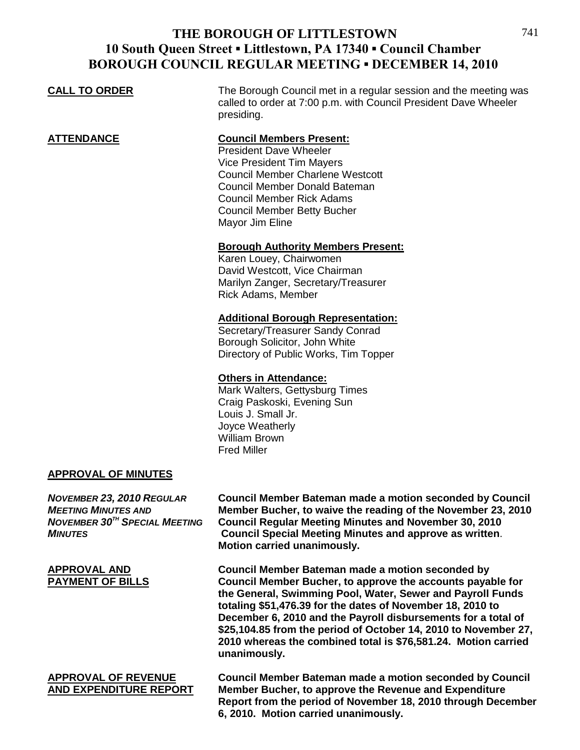### **CALL TO ORDER** The Borough Council met in a regular session and the meeting was called to order at 7:00 p.m. with Council President Dave Wheeler presiding. **ATTENDANCE Council Members Present:** President Dave Wheeler Vice President Tim Mayers Council Member Charlene Westcott Council Member Donald Bateman Council Member Rick Adams Council Member Betty Bucher Mayor Jim Eline **Borough Authority Members Present:** Karen Louey, Chairwomen David Westcott, Vice Chairman Marilyn Zanger, Secretary/Treasurer Rick Adams, Member **Additional Borough Representation:** Secretary/Treasurer Sandy Conrad Borough Solicitor, John White Directory of Public Works, Tim Topper

### **Others in Attendance:**

Mark Walters, Gettysburg Times Craig Paskoski, Evening Sun Louis J. Small Jr. Joyce Weatherly William Brown Fred Miller

### **APPROVAL OF MINUTES**

*NOVEMBER 23, 2010 REGULAR* **Council Member Bateman made a motion seconded by Council** *MEETING MINUTES AND* Member Bucher, to waive the reading of the November 23, 2010<br>*NOVEMBER 30<sup>TH</sup> SPECIAL MEETING* Council Regular Meeting Minutes and November 30, 2010 *Council Regular Meeting Minutes and November 30, 2010 MINUTES* **Council Special Meeting Minutes and approve as written**. **Motion carried unanimously.**

**APPROVAL AND Council Member Bateman made a motion seconded by Council Member Bucher, to approve the accounts payable for the General, Swimming Pool, Water, Sewer and Payroll Funds totaling \$51,476.39 for the dates of November 18, 2010 to December 6, 2010 and the Payroll disbursements for a total of \$25,104.85 from the period of October 14, 2010 to November 27, 2010 whereas the combined total is \$76,581.24. Motion carried unanimously.**

**APPROVAL OF REVENUE Council Member Bateman made a motion seconded by Council AND EXPENDITURE REPORT Member Bucher, to approve the Revenue and Expenditure Report from the period of November 18, 2010 through December 6, 2010. Motion carried unanimously.**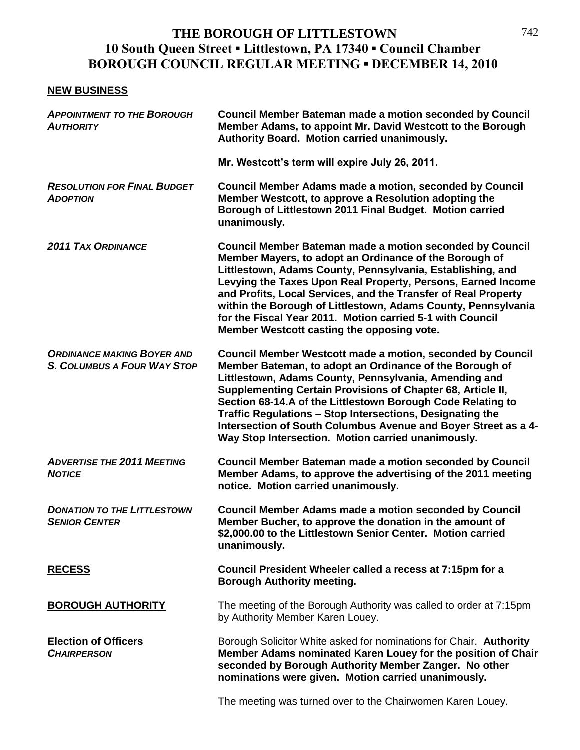### **NEW BUSINESS**

| <b>APPOINTMENT TO THE BOROUGH</b><br><b>AUTHORITY</b>                   | Council Member Bateman made a motion seconded by Council<br>Member Adams, to appoint Mr. David Westcott to the Borough<br>Authority Board. Motion carried unanimously.                                                                                                                                                                                                                                                                                                                                   |
|-------------------------------------------------------------------------|----------------------------------------------------------------------------------------------------------------------------------------------------------------------------------------------------------------------------------------------------------------------------------------------------------------------------------------------------------------------------------------------------------------------------------------------------------------------------------------------------------|
|                                                                         | Mr. Westcott's term will expire July 26, 2011.                                                                                                                                                                                                                                                                                                                                                                                                                                                           |
| <b>RESOLUTION FOR FINAL BUDGET</b><br><b>ADOPTION</b>                   | <b>Council Member Adams made a motion, seconded by Council</b><br>Member Westcott, to approve a Resolution adopting the<br>Borough of Littlestown 2011 Final Budget. Motion carried<br>unanimously.                                                                                                                                                                                                                                                                                                      |
| <b>2011 TAX ORDINANCE</b>                                               | <b>Council Member Bateman made a motion seconded by Council</b><br>Member Mayers, to adopt an Ordinance of the Borough of<br>Littlestown, Adams County, Pennsylvania, Establishing, and<br>Levying the Taxes Upon Real Property, Persons, Earned Income<br>and Profits, Local Services, and the Transfer of Real Property<br>within the Borough of Littlestown, Adams County, Pennsylvania<br>for the Fiscal Year 2011. Motion carried 5-1 with Council<br>Member Westcott casting the opposing vote.    |
| <b>ORDINANCE MAKING BOYER AND</b><br><b>S. COLUMBUS A FOUR WAY STOP</b> | <b>Council Member Westcott made a motion, seconded by Council</b><br>Member Bateman, to adopt an Ordinance of the Borough of<br>Littlestown, Adams County, Pennsylvania, Amending and<br>Supplementing Certain Provisions of Chapter 68, Article II,<br>Section 68-14.A of the Littlestown Borough Code Relating to<br>Traffic Regulations - Stop Intersections, Designating the<br>Intersection of South Columbus Avenue and Boyer Street as a 4-<br>Way Stop Intersection. Motion carried unanimously. |
| <b>ADVERTISE THE 2011 MEETING</b><br><b>NOTICE</b>                      | <b>Council Member Bateman made a motion seconded by Council</b><br>Member Adams, to approve the advertising of the 2011 meeting<br>notice. Motion carried unanimously.                                                                                                                                                                                                                                                                                                                                   |
| <b>DONATION TO THE LITTLESTOWN</b><br><b>SENIOR CENTER</b>              | <b>Council Member Adams made a motion seconded by Council</b><br>Member Bucher, to approve the donation in the amount of<br>\$2,000.00 to the Littlestown Senior Center. Motion carried<br>unanimously.                                                                                                                                                                                                                                                                                                  |
| <b>RECESS</b>                                                           | Council President Wheeler called a recess at 7:15pm for a<br><b>Borough Authority meeting.</b>                                                                                                                                                                                                                                                                                                                                                                                                           |
| <b>BOROUGH AUTHORITY</b>                                                | The meeting of the Borough Authority was called to order at 7:15pm<br>by Authority Member Karen Louey.                                                                                                                                                                                                                                                                                                                                                                                                   |
| <b>Election of Officers</b><br><b>CHAIRPERSON</b>                       | Borough Solicitor White asked for nominations for Chair. Authority<br>Member Adams nominated Karen Louey for the position of Chair<br>seconded by Borough Authority Member Zanger. No other<br>nominations were given. Motion carried unanimously.                                                                                                                                                                                                                                                       |
|                                                                         | The meeting was turned over to the Chairwomen Karen Louey.                                                                                                                                                                                                                                                                                                                                                                                                                                               |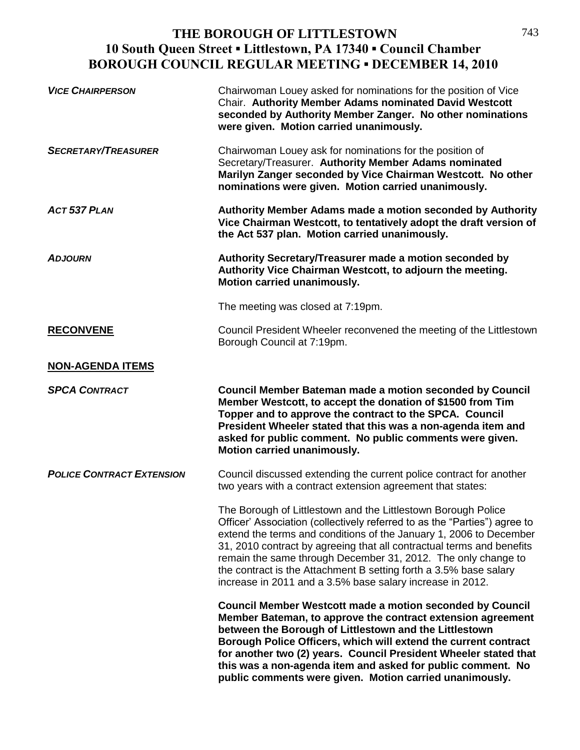| <b>VICE CHAIRPERSON</b>          | Chairwoman Louey asked for nominations for the position of Vice<br>Chair. Authority Member Adams nominated David Westcott<br>seconded by Authority Member Zanger. No other nominations<br>were given. Motion carried unanimously.                                                                                                                                                                                                                                                            |
|----------------------------------|----------------------------------------------------------------------------------------------------------------------------------------------------------------------------------------------------------------------------------------------------------------------------------------------------------------------------------------------------------------------------------------------------------------------------------------------------------------------------------------------|
| <b>SECRETARY/TREASURER</b>       | Chairwoman Louey ask for nominations for the position of<br>Secretary/Treasurer. Authority Member Adams nominated<br>Marilyn Zanger seconded by Vice Chairman Westcott. No other<br>nominations were given. Motion carried unanimously.                                                                                                                                                                                                                                                      |
| ACT 537 PLAN                     | Authority Member Adams made a motion seconded by Authority<br>Vice Chairman Westcott, to tentatively adopt the draft version of<br>the Act 537 plan. Motion carried unanimously.                                                                                                                                                                                                                                                                                                             |
| <b>ADJOURN</b>                   | Authority Secretary/Treasurer made a motion seconded by<br>Authority Vice Chairman Westcott, to adjourn the meeting.<br>Motion carried unanimously.                                                                                                                                                                                                                                                                                                                                          |
|                                  | The meeting was closed at 7:19pm.                                                                                                                                                                                                                                                                                                                                                                                                                                                            |
| <b>RECONVENE</b>                 | Council President Wheeler reconvened the meeting of the Littlestown<br>Borough Council at 7:19pm.                                                                                                                                                                                                                                                                                                                                                                                            |
| <b>NON-AGENDA ITEMS</b>          |                                                                                                                                                                                                                                                                                                                                                                                                                                                                                              |
| <b>SPCA CONTRACT</b>             | <b>Council Member Bateman made a motion seconded by Council</b><br>Member Westcott, to accept the donation of \$1500 from Tim<br>Topper and to approve the contract to the SPCA. Council<br>President Wheeler stated that this was a non-agenda item and<br>asked for public comment. No public comments were given.<br>Motion carried unanimously.                                                                                                                                          |
| <b>POLICE CONTRACT EXTENSION</b> | Council discussed extending the current police contract for another<br>two years with a contract extension agreement that states:                                                                                                                                                                                                                                                                                                                                                            |
|                                  | The Borough of Littlestown and the Littlestown Borough Police<br>Officer' Association (collectively referred to as the "Parties") agree to<br>extend the terms and conditions of the January 1, 2006 to December<br>31, 2010 contract by agreeing that all contractual terms and benefits<br>remain the same through December 31, 2012. The only change to<br>the contract is the Attachment B setting forth a 3.5% base salary<br>increase in 2011 and a 3.5% base salary increase in 2012. |
|                                  | <b>Council Member Westcott made a motion seconded by Council</b><br>Member Bateman, to approve the contract extension agreement<br>between the Borough of Littlestown and the Littlestown<br>Borough Police Officers, which will extend the current contract<br>for another two (2) years. Council President Wheeler stated that<br>this was a non-agenda item and asked for public comment. No<br>public comments were given. Motion carried unanimously.                                   |